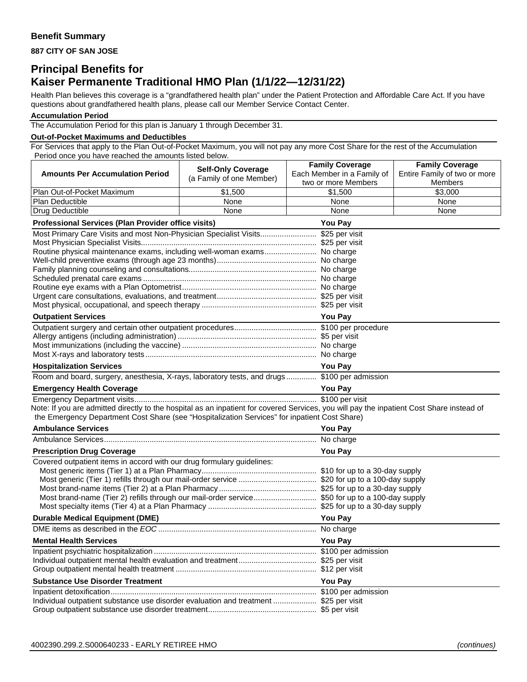## **Benefit Summary**

**887 CITY OF SAN JOSE** 

# **Principal Benefits for Kaiser Permanente Traditional HMO Plan (1/1/22—12/31/22)**

Health Plan believes this coverage is a "grandfathered health plan" under the Patient Protection and Affordable Care Act. If you have questions about grandfathered health plans, please call our Member Service Contact Center.

#### **Accumulation Period**

The Accumulation Period for this plan is January 1 through December 31.

#### **Out-of-Pocket Maximums and Deductibles**

For Services that apply to the Plan Out-of-Pocket Maximum, you will not pay any more Cost Share for the rest of the Accumulation Period once you have reached the amounts listed below.

|                                                                                                                                           | <b>Self-Only Coverage</b> | <b>Family Coverage</b>                            | <b>Family Coverage</b>                         |  |
|-------------------------------------------------------------------------------------------------------------------------------------------|---------------------------|---------------------------------------------------|------------------------------------------------|--|
| <b>Amounts Per Accumulation Period</b>                                                                                                    | (a Family of one Member)  | Each Member in a Family of<br>two or more Members | Entire Family of two or more<br><b>Members</b> |  |
| Plan Out-of-Pocket Maximum                                                                                                                | \$1,500                   | \$1,500                                           | \$3,000                                        |  |
| Plan Deductible                                                                                                                           | None                      | None                                              | None                                           |  |
| Drug Deductible                                                                                                                           | None                      | None                                              | None                                           |  |
| Professional Services (Plan Provider office visits)                                                                                       | <b>You Pay</b>            |                                                   |                                                |  |
| Most Primary Care Visits and most Non-Physician Specialist Visits \$25 per visit                                                          |                           |                                                   |                                                |  |
|                                                                                                                                           |                           |                                                   |                                                |  |
| Routine physical maintenance exams, including well-woman exams No charge                                                                  |                           |                                                   |                                                |  |
|                                                                                                                                           |                           |                                                   |                                                |  |
|                                                                                                                                           |                           |                                                   |                                                |  |
|                                                                                                                                           |                           |                                                   |                                                |  |
|                                                                                                                                           |                           |                                                   |                                                |  |
|                                                                                                                                           |                           |                                                   |                                                |  |
| <b>Outpatient Services</b>                                                                                                                |                           | <b>You Pay</b>                                    |                                                |  |
|                                                                                                                                           |                           |                                                   |                                                |  |
|                                                                                                                                           |                           |                                                   |                                                |  |
|                                                                                                                                           |                           |                                                   |                                                |  |
|                                                                                                                                           |                           |                                                   |                                                |  |
| <b>Hospitalization Services</b>                                                                                                           |                           | <b>You Pay</b>                                    |                                                |  |
| Room and board, surgery, anesthesia, X-rays, laboratory tests, and drugs \$100 per admission                                              |                           |                                                   |                                                |  |
| <b>Emergency Health Coverage</b>                                                                                                          |                           | <b>You Pay</b>                                    |                                                |  |
|                                                                                                                                           |                           |                                                   |                                                |  |
| Note: If you are admitted directly to the hospital as an inpatient for covered Services, you will pay the inpatient Cost Share instead of |                           |                                                   |                                                |  |
| the Emergency Department Cost Share (see "Hospitalization Services" for inpatient Cost Share)                                             |                           |                                                   |                                                |  |
| <b>Ambulance Services</b>                                                                                                                 |                           | <b>You Pay</b>                                    |                                                |  |
|                                                                                                                                           |                           |                                                   |                                                |  |
| <b>You Pay</b><br><b>Prescription Drug Coverage</b><br>Covered outpatient items in accord with our drug formulary guidelines:             |                           |                                                   |                                                |  |
|                                                                                                                                           |                           |                                                   |                                                |  |
|                                                                                                                                           |                           |                                                   |                                                |  |
|                                                                                                                                           |                           |                                                   |                                                |  |
| Most brand-name (Tier 2) refills through our mail-order service \$50 for up to a 100-day supply                                           |                           |                                                   |                                                |  |
|                                                                                                                                           |                           |                                                   |                                                |  |
| <b>Durable Medical Equipment (DME)</b>                                                                                                    |                           | <b>You Pay</b>                                    |                                                |  |
|                                                                                                                                           |                           |                                                   |                                                |  |
| <b>Mental Health Services</b>                                                                                                             |                           | <b>You Pay</b>                                    |                                                |  |
|                                                                                                                                           |                           |                                                   |                                                |  |
|                                                                                                                                           |                           |                                                   |                                                |  |
|                                                                                                                                           |                           |                                                   |                                                |  |
| <b>Substance Use Disorder Treatment</b>                                                                                                   |                           | <b>You Pay</b>                                    |                                                |  |
|                                                                                                                                           |                           |                                                   |                                                |  |
| Individual outpatient substance use disorder evaluation and treatment  \$25 per visit                                                     |                           |                                                   |                                                |  |
|                                                                                                                                           |                           |                                                   |                                                |  |